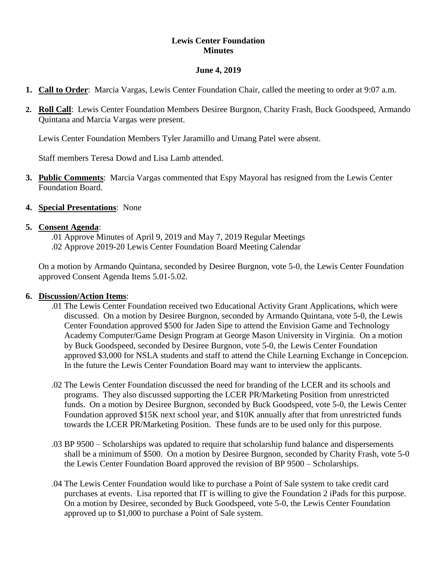### **Lewis Center Foundation Minutes**

#### **June 4, 2019**

- **1. Call to Order**: Marcia Vargas, Lewis Center Foundation Chair, called the meeting to order at 9:07 a.m.
- 2. **Roll Call**: Lewis Center Foundation Members Desiree Burgnon, Charity Frash, Buck Goodspeed, Armando Quintana and Marcia Vargas were present.

Lewis Center Foundation Members Tyler Jaramillo and Umang Patel were absent.

Staff members Teresa Dowd and Lisa Lamb attended.

- **3. Public Comments**: Marcia Vargas commented that Espy Mayoral has resigned from the Lewis Center Foundation Board.
- **4. Special Presentations**: None

### **5. Consent Agenda**:

.01 Approve Minutes of April 9, 2019 and May 7, 2019 Regular Meetings .02 Approve 2019-20 Lewis Center Foundation Board Meeting Calendar

On a motion by Armando Quintana, seconded by Desiree Burgnon, vote 5-0, the Lewis Center Foundation approved Consent Agenda Items 5.01-5.02.

# **6. Discussion/Action Items**:

- .01 The Lewis Center Foundation received two Educational Activity Grant Applications, which were discussed. On a motion by Desiree Burgnon, seconded by Armando Quintana, vote 5-0, the Lewis Center Foundation approved \$500 for Jaden Sipe to attend the Envision Game and Technology Academy Computer/Game Design Program at George Mason University in Virginia. On a motion by Buck Goodspeed, seconded by Desiree Burgnon, vote 5-0, the Lewis Center Foundation approved \$3,000 for NSLA students and staff to attend the Chile Learning Exchange in Concepcion. In the future the Lewis Center Foundation Board may want to interview the applicants.
- .02 The Lewis Center Foundation discussed the need for branding of the LCER and its schools and programs. They also discussed supporting the LCER PR/Marketing Position from unrestricted funds. On a motion by Desiree Burgnon, seconded by Buck Goodspeed, vote 5-0, the Lewis Center Foundation approved \$15K next school year, and \$10K annually after that from unrestricted funds towards the LCER PR/Marketing Position. These funds are to be used only for this purpose.
- .03 BP 9500 Scholarships was updated to require that scholarship fund balance and dispersements shall be a minimum of \$500. On a motion by Desiree Burgnon, seconded by Charity Frash, vote 5-0 the Lewis Center Foundation Board approved the revision of BP 9500 – Scholarships.
- .04 The Lewis Center Foundation would like to purchase a Point of Sale system to take credit card purchases at events. Lisa reported that IT is willing to give the Foundation 2 iPads for this purpose. On a motion by Desiree, seconded by Buck Goodspeed, vote 5-0, the Lewis Center Foundation approved up to \$1,000 to purchase a Point of Sale system.